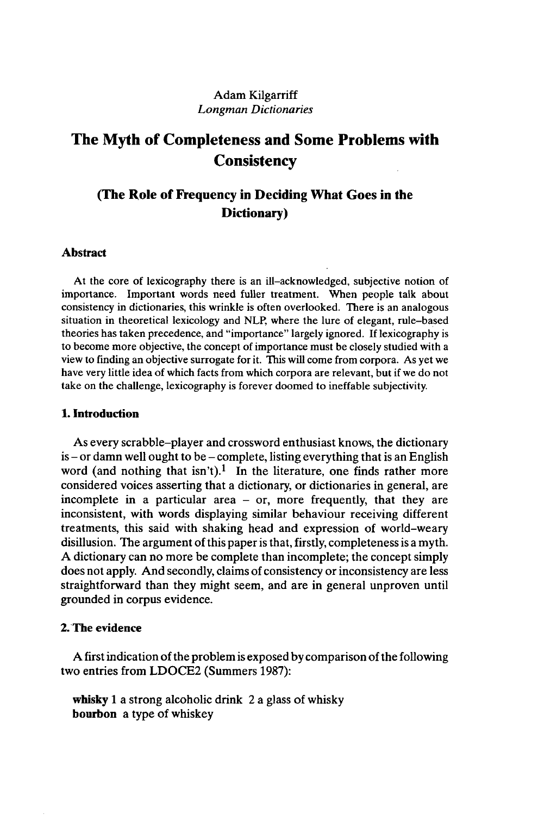# Adam Kilgarriff *Longman Dictionaries*

# **The Myth of Completeness and Some Problems with Consistency**

# **(The Role of Frequency in Deciding What Goes in the Dictionary)**

#### **Abstract**

At the core of lexicography there is an ill-acknowledged, subjective notion of importance. Important words need fuller treatment. When people talk about consistency in dictionaries, this wrinkle is often overlooked. There is an analogous situation in theoretical lexicology and NLP, where the lure of elegant, rule-based theories has taken precedence, and "importance" largely ignored. If lexicography is to become more objective, the concept of importance must be closely studied with a view to finding an objective surrogate for it. This will come from corpora. As yet we have very little idea of which facts from which corpora are relevant, but if we do not take on the challenge, lexicography is forever doomed to ineffable subjectivity.

# **1. Introduction**

As every scrabble-player and crossword enthusiast knows, the dictionary  $is$  - or damn well ought to be - complete, listing everything that is an English word (and nothing that isn't).<sup>1</sup> In the literature, one finds rather more considered voices asserting that a dictionary, or dictionaries in general, are incomplete in a particular area - or, more frequently, that they are inconsistent, with words displaying similar behaviour receiving different treatments, this said with shaking head and expression of world-weary disillusion. The argument of this paper is that, firstly, completeness is a myth. A dictionary can no more be complete than incomplete; the concept simply does not apply. And secondly, claims of consistency or inconsistency are less straightforward than they might seem, and are in general unproven until grounded in corpus evidence.

# **2. The evidence**

A first indication of the problem is exposed by comparison of the following two entries from LDOCE2 (Summers 1987):

**whisky** <sup>1</sup> a strong alcoholic drink 2 a glass of whisky **bourbon** a type of whiskey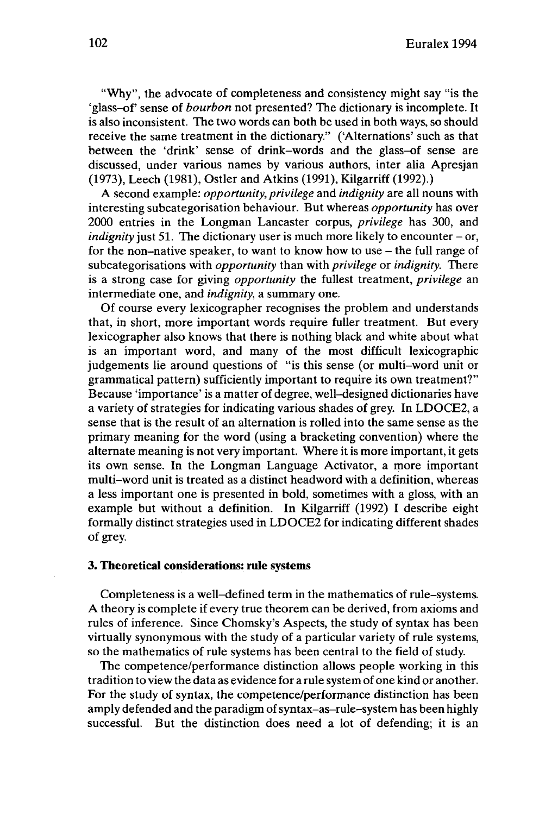"Why", the advocate of completeness and consistency might say "is the 'glass-of sense of *bourbon* not presented? The dictionary is incomplete. It is also inconsistent. The two words can both be used in both ways, so should receive the same treatment in the dictionary." ('Alternations' such as that between the 'drink' sense of drink-words and the glass-of sense are discussed, under various names by various authors, inter alia Apresjan (1973), Leech (1981), Ostler and Atkins (1991), Kilgarriff (1992).)

A second example: *opportunity, privilege* and *indignity* are all nouns with interesting subcategorisation behaviour. But whereas *opportunity* has over 2000 entries in the Longman Lancaster corpus, *privilege* has 300, and *indignity* just 51. The dictionary user is much more likely to encounter – or, for the non-native speaker, to want to know how to use  $-$  the full range of subcategorisations with *opportunity* than with *privilege* or *indignity.* There is a strong case for giving *opportunity* the fullest treatment, *privilege* an intermediate one, and *indignity,* a summary one.

Of course every lexicographer recognises the problem and understands that, in short, more important words require fuller treatment. But every lexicographer also knows that there is nothing black and white about what is an important word, and many of the most difficult lexicographic judgements lie around questions of "is this sense (or multi-word unit or grammatical pattern) sufficiently important to require its own treatment?" Because 'importance' is a matter of degree, well-designed dictionaries have a variety of strategies for indicating various shades of grey. In LDOCE2, a sense that is the result of an alternation is rolled into the same sense as the primary meaning for the word (using a bracketing convention) where the alternate meaning is not very important. Where it is more important, it gets its own sense. In the Longman Language Activator, a more important multi-word unit is treated as a distinct headword with a definition, whereas a less important one is presented in bold, sometimes with a gloss, with an example but without a definition. In Kilgarriff (1992) I describe eight formally distinct strategies used in LDOCE2 for indicating different shades of grey.

# **3. Theoretical considerations: rule systems**

Completeness is a well-defined term in the mathematics of rule-systems. A theory is complete if every true theorem can be derived, from axioms and rules of inference. Since Chomsky's Aspects, the study of syntax has been virtually synonymous with the study of a particular variety of rule systems, so the mathematics of rule systems has been central to the field of study.

The competence/performance distinction allows people working in this tradition to view the data as evidence for a rule system ofone kind or another. For the study of syntax, the competence/performance distinction has been amply defended and the paradigm ofsyntax-as-rule-system has been highly successful. But the distinction does need a lot of defending; it is an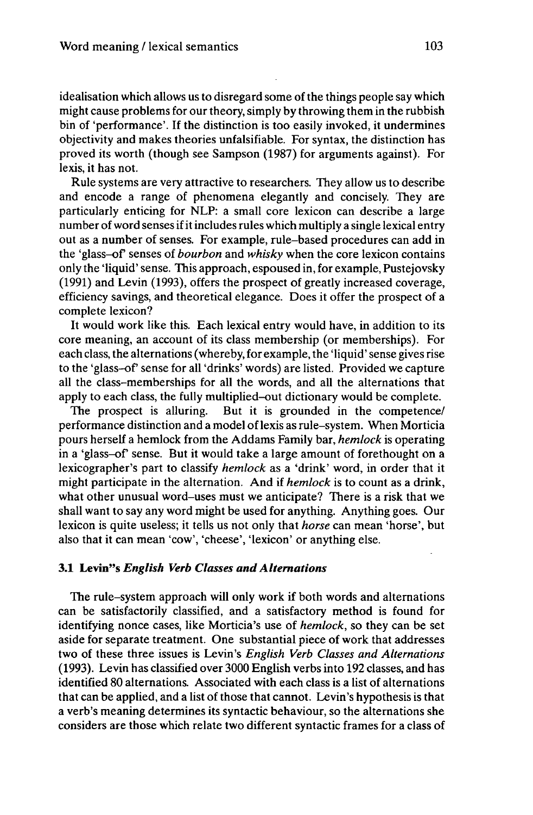idealisation which allows us to disregard some of the things people say which might cause problems for our theory, simply by throwing them in the rubbish bin of 'performance'. If the distinction is too easily invoked, it undermines objectivity and makes theories unfalsifiable. For syntax, the distinction has proved its worth (though see Sampson (1987) for arguments against). For lexis, it has not.

Rule systems are very attractive to researchers. They allow us to describe and encode a range of phenomena elegantly and concisely. They are particularly enticing for NLP: a small core lexicon can describe a large number of word senses if it includes rules which multiply a single lexical entry out as a number of senses. For example, rule-based procedures can add in the 'glass-of senses of *bourbon* and *whisky* when the core lexicon contains only the 'liquid' sense. This approach, espoused in, for example, Pustejovsky (1991) and Levin (1993), offers the prospect of greatly increased coverage, efficiency savings, and theoretical elegance. Does it offer the prospect of a complete lexicon?

It would work like this. Each lexical entry would have, in addition to its core meaning, an account of its class membership (or memberships). For each class, the alternations (whereby, for example, the 'liquid' sense gives rise to the 'glass-of sense for all 'drinks' words) are listed. Provided we capture all the class-memberships for all the words, and all the alternations that apply to each class, the fully multiplied-out dictionary would be complete.

The prospect is alluring. But it is grounded in the competence/ performance distinction and a model oflexis as rule-system. When Morticia pours herself a hemlock from the Addams Family bar, *hemlock* is operating in a 'glass-of sense. But it would take a large amount of forethought on a lexicographer's part to classify *hemlock* as a 'drink' word, in order that it might participate in the alternation. And if *hemlock* is to count as a drink, what other unusual word-uses must we anticipate? There is a risk that we shall want to say any word might be used for anything. Anything goes. Our lexicon is quite useless; it tells us not only that *horse* can mean 'horse', but also that it can mean 'cow', 'cheese', 'lexicon' or anything else.

#### **3.1 Levin"s** *English Verb Classes andAlternations*

The rule-system approach will only work if both words and alternations can be satisfactorily classified, and a satisfactory method is found for identifying nonce cases, like Morticia's use of *hemlock,* so they can be set aside for separate treatment. One substantial piece of work that addresses two of these three issues is Levin's *English Verb Classes and Alternations* (1993). Levin has classified over 3000 English verbs into 192 classes, and has identified 80 alternations. Associated with each class is a list of alternations that can be applied, and a list of those that cannot. Levin's hypothesis is that a verb's meaning determines its syntactic behaviour, so the alternations she considers are those which relate two different syntactic frames for a class of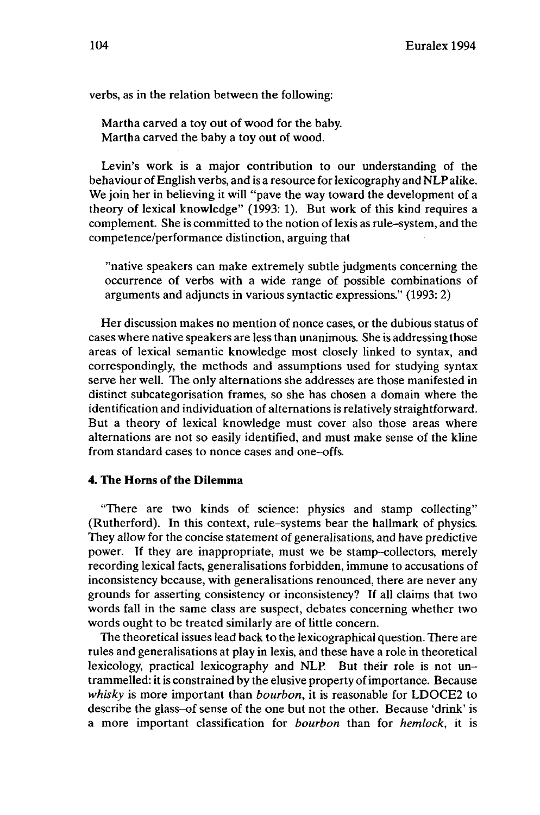verbs, as in the relation between the following:

Martha carved a toy out of wood for the baby. Martha carved the baby a toy out of wood.

Levin's work is a major contribution to our understanding of the behaviour of English verbs, and is a resource for lexicography and NLP alike. We join her in believing it will "pave the way toward the development of a theory of lexical knowledge" (1993: 1). But work of this kind requires a complement. She is committed to the notion of lexis as rule-system, and the competence/performance distinction, arguing that

"native speakers can make extremely subtle judgments concerning the occurrence of verbs with a wide range of possible combinations of arguments and adjuncts in various syntactic expressions." (1993: 2)

Her discussion makes no mention of nonce cases, or the dubious status of cases where native speakers are less than unanimous. She is addressing those areas of lexical semantic knowledge most closely linked to syntax, and correspondingly, the methods and assumptions used for studying syntax serve her well. The only alternations she addresses are those manifested in distinct subcategorisation frames, so she has chosen a domain where the identification and individuation of alternations is relatively straightforward. But a theory of lexical knowledge must cover also those areas where alternations are not so easily identified, and must make sense of the kline from standard cases to nonce cases and one-offs.

# **4. The Horns of the Dilemma**

"There are two kinds of science: physics and stamp collecting" (Rutherford). In this context, rule-systems bear the hallmark of physics. They allow for the concise statement of generalisations, and have predictive power. If they are inappropriate, must we be stamp-collectors, merely recording lexical facts, generalisations forbidden, immune to accusations of inconsistency because, with generalisations renounced, there are never any grounds for asserting consistency or inconsistency? If all claims that two words fall in the same class are suspect, debates concerning whether two words ought to be treated similarly are of little concern.

The theoretical issues lead back to the lexicographical question. There are rules and generalisations at play in lexis, and these have a role in theoretical lexicology, practical lexicography and NLP. But their role is not untrammelled: it is constrained by the elusive property of importance. Because *whisky* is more important than *bourbon,* it is reasonable for LDOCE2 to describe the glass-of sense of the one but not the other. Because 'drink' is a more important classification for *bourbon* than for *hemlock,* it is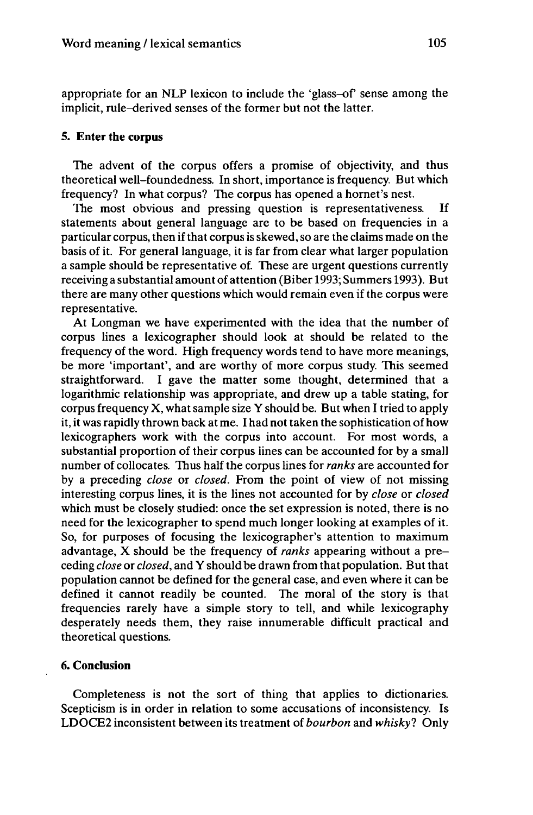appropriate for an NLP lexicon to include the 'glass-of sense among the implicit, rule-derived senses of the former but not the latter.

## **5. Enter the corpus**

The advent of the corpus offers a promise of objectivity, and thus theoretical well-foundedness. In short, importance is frequency. But which frequency? In what corpus? The corpus has opened a hornet's nest.

The most obvious and pressing question is representativeness. If statements about general language are to be based on frequencies in a particular corpus, then if that corpus is skewed, so are the claims made on the basis of it. For general language, it is far from clear what larger population a sample should be representative of. These are urgent questions currently receiving a substantial amount of attention (Biber 1993; Summers 1993). But there are many other questions which would remain even if the corpus were representative.

At Longman we have experimented with the idea that the number of corpus lines a lexicographer should look at should be related to the frequency of the word. High frequency words tend to have more meanings, be more 'important', and are worthy of more corpus study. This seemed straightforward. I gave the matter some thought, determined that a logarithmic relationship was appropriate, and drew up a table stating, for corpus frequency  $X$ , what sample size  $Y$  should be. But when I tried to apply it, it was rapidly thrown back at me. I had not taken the sophistication of how lexicographers work with the corpus into account. For most words, a substantial proportion of their corpus lines can be accounted for by a small number of collocates. Thus half the corpus lines for *ranks* are accounted for by a preceding *close* or *closed.* From the point of view of not missing interesting corpus lines, it is the lines not accounted for by *close* or *closed* which must be closely studied: once the set expression is noted, there is no need for the lexicographer to spend much longer looking at examples of it. So, for purposes of focusing the lexicographer's attention to maximum advantage, X should be the frequency of *ranks* appearing without a preceding *close* or *closed,* and Y should be drawn from that population. Butthat population cannot be defined for the general case, and even where it can be defined it cannot readily be counted. The moral of the story is that frequencies rarely have a simple story to tell, and while lexicography desperately needs them, they raise innumerable difficult practical and theoretical questions.

# **6. Conclusion**

Completeness is not the sort of thing that applies to dictionaries. Scepticism is in order in relation to some accusations of inconsistency. Is LDOCE2 inconsistent between its treatment of *bourbon* and *whisky?* Only